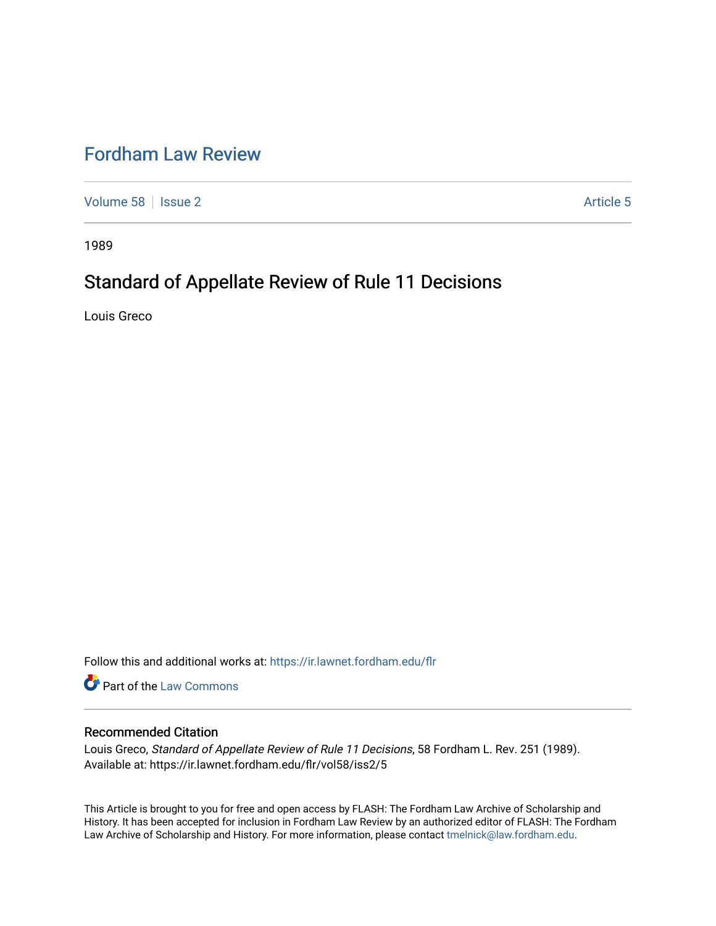## [Fordham Law Review](https://ir.lawnet.fordham.edu/flr)

[Volume 58](https://ir.lawnet.fordham.edu/flr/vol58) | [Issue 2](https://ir.lawnet.fordham.edu/flr/vol58/iss2) Article 5

1989

# Standard of Appellate Review of Rule 11 Decisions

Louis Greco

Follow this and additional works at: [https://ir.lawnet.fordham.edu/flr](https://ir.lawnet.fordham.edu/flr?utm_source=ir.lawnet.fordham.edu%2Fflr%2Fvol58%2Fiss2%2F5&utm_medium=PDF&utm_campaign=PDFCoverPages)

**Part of the [Law Commons](http://network.bepress.com/hgg/discipline/578?utm_source=ir.lawnet.fordham.edu%2Fflr%2Fvol58%2Fiss2%2F5&utm_medium=PDF&utm_campaign=PDFCoverPages)** 

## Recommended Citation

Louis Greco, Standard of Appellate Review of Rule 11 Decisions, 58 Fordham L. Rev. 251 (1989). Available at: https://ir.lawnet.fordham.edu/flr/vol58/iss2/5

This Article is brought to you for free and open access by FLASH: The Fordham Law Archive of Scholarship and History. It has been accepted for inclusion in Fordham Law Review by an authorized editor of FLASH: The Fordham Law Archive of Scholarship and History. For more information, please contact [tmelnick@law.fordham.edu](mailto:tmelnick@law.fordham.edu).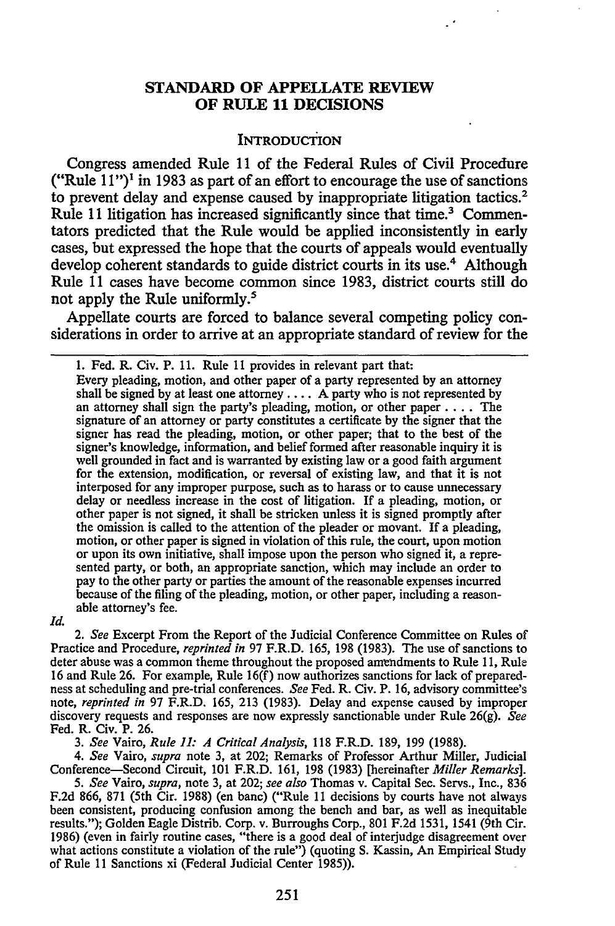## **STANDARD OF APPELLATE REVIEW OF RULE 11 DECISIONS**

#### **INTRODUCTION**

Congress amended Rule 11 of the Federal Rules of Civil Procedure ("Rule  $11$ ")<sup>1</sup> in 1983 as part of an effort to encourage the use of sanctions to prevent delay and expense caused **by** inappropriate litigation tactics.2 Rule 11 litigation has increased significantly since that time.<sup>3</sup> Commentators predicted that the Rule would be applied inconsistently in early cases, but expressed the hope that the courts of appeals would eventually develop coherent standards to guide district courts in its use.<sup>4</sup> Although Rule 11 cases have become common since 1983, district courts still do not apply the Rule uniformly.<sup>5</sup>

Appellate courts are forced to balance several competing policy considerations in order to arrive at an appropriate standard of review for the

**1.** Fed. R. Civ. P. **11.** Rule 11 provides in relevant part that: Every pleading, motion, and other paper of a party represented **by** an attorney shall be signed **by** at least one attorney .... A party who is not represented **by** an attorney shall sign the party's pleading, motion, or other paper **....** The signature of an attorney or party constitutes a certificate **by** the signer that the signer has read the pleading, motion, or other paper; that to the best of the signer's knowledge, information, and belief formed after reasonable inquiry it is well grounded in fact and is warranted **by** existing law or a good faith argument for the extension, modification, or reversal of existing law, and that it is not interposed for any improper purpose, such as to harass or to cause unnecessary delay or needless increase in the cost of litigation. If a pleading, motion, or other paper is not signed, it shall be stricken unless it is signed promptly after the omission is called to the attention of the pleader or movant. If a pleading, motion, or other paper is signed in violation of this rule, the court, upon motion or upon its own initiative, shall impose upon the person who signed it, a represented party, or both, an appropriate sanction, which may include an order to pay to the other party or parties the amount of the reasonable expenses incurred because of the filing of the pleading, motion, or other paper, including a reasonable attorney's fee.

*Id.*

*2. See* Excerpt From the Report of the Judicial Conference Committee on Rules of Practice and Procedure, *reprinted in* 97 F.R.D. 165, 198 (1983). The use of sanctions to deter abuse was a common theme throughout the proposed amendments to Rule 11, Rule 16 and Rule 26. For example, Rule 16(f) now authorizes sanctions for lack of preparedness at scheduling and pre-trial conferences. *See* Fed. R. Civ. P. **16,** advisory committee's note, *reprinted in* 97 F.R.D. 165, 213 (1983). Delay and expense caused by improper discovery requests and responses are now expressly sanctionable under Rule 26(g). *See* Fed. R. Civ. P. 26.

*3. See* Vairo, *Rule 11: A Critical Analysis,* 118 F.R.D. 189, 199 (1988).

*4. See* Vairo, *supra* note 3, at 202; Remarks of Professor Arthur Miller, Judicial Conference-Second Circuit, 101 F.R.D. 161, 198 (1983) [hereinafter *Miller Remarks].*

*5. See* Vairo, *supra,* note 3, at 202; *see also* Thomas v. Capital Sec. Servs., Inc., 836 F.2d 866, 871 (5th Cir. 1988) (en banc) ("Rule 11 decisions by courts have not always been consistent, producing confusion among the bench and bar, as well as inequitable results."); Golden Eagle Distrib. Corp. v. Burroughs Corp., 801 F.2d 1531, 1541 (9th Cir. 1986) (even in fairly routine cases, "there is a good deal of interjudge disagreement over what actions constitute a violation of the rule") (quoting S. Kassin, An Empirical Study of Rule 11 Sanctions xi (Federal Judicial Center 1985)).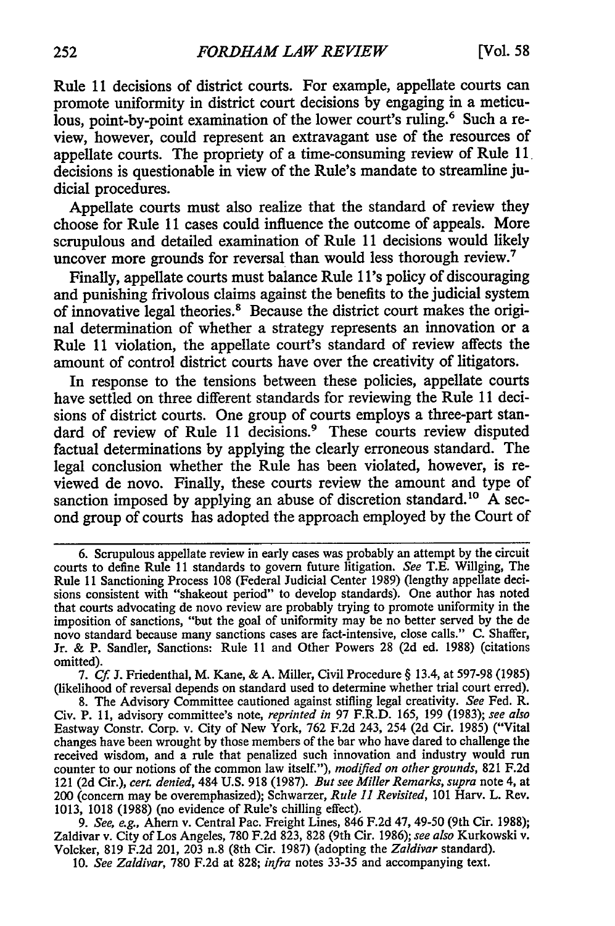Rule 11 decisions of district courts. For example, appellate courts can promote uniformity in district court decisions by engaging in a meticulous, point-by-point examination of the lower court's ruling.<sup>6</sup> Such a review, however, could represent an extravagant use of the resources of appellate courts. The propriety of a time-consuming review of Rule **11,** decisions is questionable in view of the Rule's mandate to streamline judicial procedures.

Appellate courts must also realize that the standard of review they choose for Rule 11 cases could influence the outcome of appeals. More scrupulous and detailed examination of Rule 11 decisions would likely uncover more grounds for reversal than would less thorough review.<sup>7</sup>

Finally, appellate courts must balance Rule **1** l's policy of discouraging and punishing frivolous claims against the benefits to the judicial system of innovative legal theories.8 Because the district court makes the original determination of whether a strategy represents an innovation or a Rule 11 violation, the appellate court's standard of review affects the amount of control district courts have over the creativity of litigators.

In response to the tensions between these policies, appellate courts have settled on three different standards for reviewing the Rule 11 decisions of district courts. One group of courts employs a three-part standard of review of Rule 11 decisions.<sup>9</sup> These courts review disputed factual determinations by applying the clearly erroneous standard. The legal conclusion whether the Rule has been violated, however, is reviewed de novo. Finally, these courts review the amount and type of sanction imposed by applying an abuse of discretion standard.<sup>10</sup> A second group of courts has adopted the approach employed by the Court of

7. *Cf* **J.** Friedenthal, M. Kane, & A. Miller, Civil Procedure § 13.4, at 597-98 (1985) (likelihood of reversal depends on standard used to determine whether trial court erred).

*9. See, e.g.,* Ahern v. Central Pac. Freight Lines, 846 F.2d 47, 49-50 (9th Cir. 1988); Zaldivar v. City of Los Angeles, 780 F.2d 823, 828 (9th Cir. 1986); *see also* Kurkowski v. Volcker, 819 F.2d 201, 203 n.8 (8th Cir. 1987) (adopting the *Zaldivar* standard).

10. *See Zaldivar,* 780 F.2d at 828; *infra* notes 33-35 and accompanying text.

<sup>6.</sup> Scrupulous appellate review in early cases was probably an attempt by the circuit courts to define Rule 11 standards to govern future litigation. *See* T.E. Willging, The Rule 11 Sanctioning Process 108 (Federal Judicial Center 1989) (lengthy appellate decisions consistent with "shakeout period" to develop standards). One author has noted that courts advocating de novo review are probably trying to promote uniformity in the imposition of sanctions, "but the goal of uniformity may be no better served by the de novo standard because many sanctions cases are fact-intensive, close calls." C. Shaffer, Jr. & P. Sandier, Sanctions: Rule 11 and Other Powers 28 (2d ed. 1988) (citations omitted).

<sup>8.</sup> The Advisory Committee cautioned against stifling legal creativity. *See* Fed. R. Civ. P. **11,** advisory committee's note, *reprinted in* 97 F.R.D. 165, 199 (1983); *see also* Eastway Constr. Corp. v. City of New York, 762 F.2d 243, 254 (2d Cir. 1985) ("Vital changes have been wrought by those members of the bar who have dared to challenge the received wisdom, and a rule that penalized such innovation and industry would run counter to our notions of the common law itself."), *modified on other grounds,* 821 F.2d 121 (2d Cir.), *cert. denied,* 484 U.S. 918 (1987). *But see Miller Remarks, supra* note 4, at 200 (concern may be overemphasized); Schwarzer, *Rule 11 Revisited,* 101 Harv. L. Rev. 1013, 1018 (1988) (no evidence of Rule's chilling effect).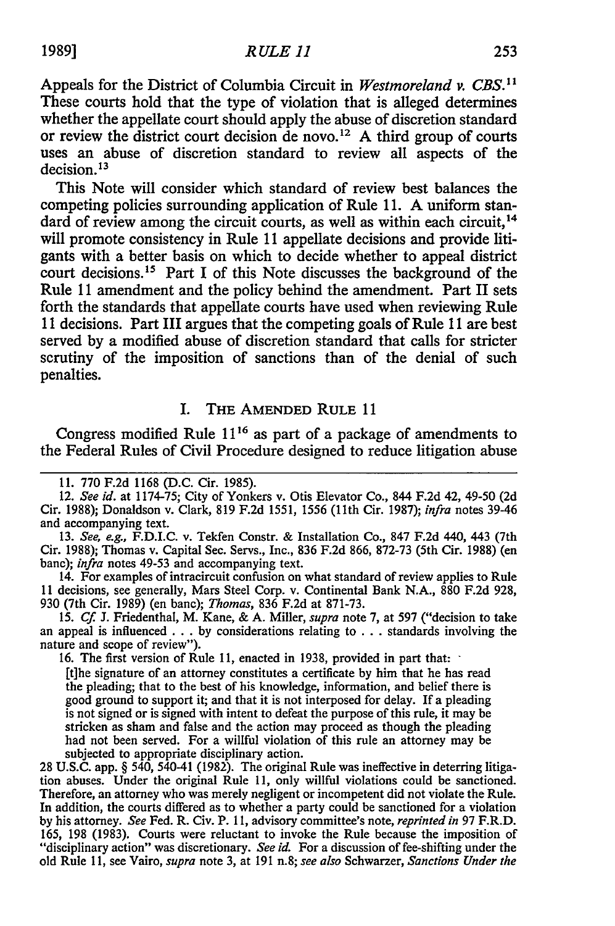Appeals for the District of Columbia Circuit in *Westmoreland v. CBS. <sup>1</sup>* These courts hold that the type of violation that is alleged determines whether the appellate court should apply the abuse of discretion standard or review the district court decision de novo.<sup>12</sup> A third group of courts uses an abuse of discretion standard to review all aspects of the decision.13

This Note will consider which standard of review best balances the competing policies surrounding application of Rule **11. A** uniform standard of review among the circuit courts, as well as within each circuit,<sup>14</sup> will promote consistency in Rule **11** appellate decisions and provide litigants with a better basis on which to decide whether to appeal district court decisions.<sup>15</sup> Part I of this Note discusses the background of the Rule **11** amendment and the policy behind the amendment. Part II sets forth the standards that appellate courts have used when reviewing Rule **<sup>11</sup>**decisions. Part III argues that the competing goals of Rule **11** are best served **by** a modified abuse of discretion standard that calls for stricter scrutiny of the imposition of sanctions than of the denial of such penalties.

#### I. THE **AMENDED** RULE **11**

Congress modified Rule **1116** as part of a package of amendments to the Federal Rules of Civil Procedure designed to reduce litigation abuse

14. For examples of intracircuit confusion on what standard of review applies to Rule **11** decisions, see generally, Mars Steel Corp. v. Continental Bank N.A., 880 F.2d 928, 930 (7th Cir. 1989) (en banc); *Thomas,* 836 **F.2d** at 871-73.

**15.** *Cf.* **J.** Friedenthal, M. Kane, & A. Miller, *supra* note **7,** at 597 ("decision to take an appeal is influenced **. . . by** considerations relating to **.** . **.** standards involving the nature and scope of review").

**16.** The first version of Rule 11, enacted in 1938, provided in part that:

[t]he signature of an attorney constitutes a certificate **by** him that he has read the pleading; that to the best of his knowledge, information, and belief there is good ground to support it; and that it is not interposed for delay. If a pleading is not signed or is signed with intent to defeat the purpose of this rule, it may be stricken as sham and false and the action may proceed as though the pleading had not been served. For a willful violation of this rule an attorney may be subjected to appropriate disciplinary action.

28 **U.S.C.** app. § 540, 540-41 (1982). The original Rule was ineffective in deterring litigation abuses. Under the original Rule **11,** only willful violations could be sanctioned. Therefore, an attorney who was merely negligent or incompetent did not violate the Rule. In addition, the courts differed as to whether a party could be sanctioned for a violation **by** his attorney. *See* Fed. R. Civ. P. **11,** advisory committee's note, *reprinted in* **97** F.R.D. 165, 198 **(1983).** Courts were reluctant to invoke the Rule because the imposition of "disciplinary action" was discretionary. *See id.* For a discussion of fee-shifting under the old Rule **11,** see Vairo, *supra* note 3, at **191** n.8; *see also* Schwarzer, *Sanctions Under the*

**<sup>11. 770</sup> F.2d** 1168 **(D.C.** Cir. 1985).

<sup>12.</sup> *See id.* at 1174-75; City of Yonkers v. Otis Elevator Co., 844 **F.2d** 42, 49-50 (2d Cir. 1988); Donaldson v. Clark, **819** F.2d 1551, 1556 (11th Cir. 1987); *infra* notes 39-46 and accompanying text.

**<sup>13.</sup>** *See, e.g.,* F.D.I.C. v. Tekfen Constr. & Installation Co., **847 F.2d** 440, 443 (7th Cir. 1988); Thomas v. Capital Sec. Servs., Inc., 836 F.2d **866,** 872-73 (5th Cir. 1988) (en banc); *infra* notes 49-53 and accompanying text.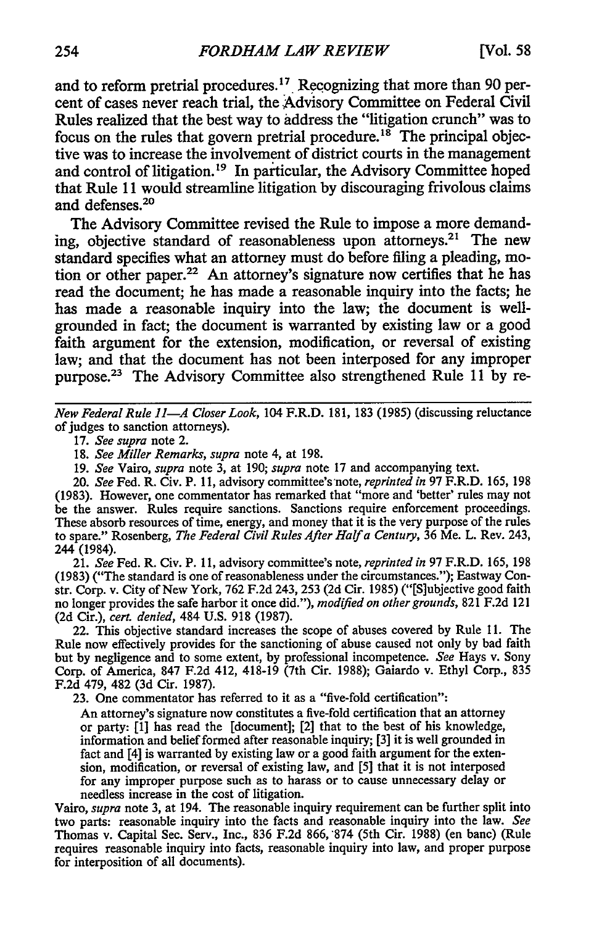and to reform pretrial procedures.17 Recognizing that more than **90** percent of cases never reach trial, the Advisory Committee on Federal Civil Rules realized that the best way to address the "litigation crunch" was to focus on the rules that govern pretrial procedure.<sup>18</sup> The principal objective was to increase the involvement of district courts in the management and control of litigation.<sup>19</sup> In particular, the Advisory Committee hoped that Rule 11 would streamline litigation by discouraging frivolous claims and defenses.<sup>2</sup>

The Advisory Committee revised the Rule to impose a more demanding, objective standard of reasonableness upon attorneys.<sup>21</sup> The new standard specifies what an attorney must do before filing a pleading, motion or other paper.<sup>22</sup> An attorney's signature now certifies that he has read the document; he has made a reasonable inquiry into the facts; he has made a reasonable inquiry into the law; the document is wellgrounded in fact; the document is warranted by existing law or a good faith argument for the extension, modification, or reversal of existing law; and that the document has not been interposed for any improper purpose.<sup>23</sup> The Advisory Committee also strengthened Rule 11 by re-

*New Federal Rule 11-A Closer Look,* 104 F.R.D. 181, 183 (1985) (discussing reluctance of judges to sanction attorneys).

18. *See Miller Remarks, supra* note 4, at 198.

19. *See* Vairo, *supra* note 3, at 190; *supra* note 17 and accompanying text.

20. *See* Fed. R. Civ. P. 11, advisory committee's'note, *reprinted in* 97 F.R.D. 165, 198 (1983). However, one commentator has remarked that "more and 'better' rules may not be the answer. Rules require sanctions. Sanctions require enforcement proceedings. These absorb resources of time, energy, and money that it is the very purpose of the rules to spare." Rosenberg, *The Federal Civil Rules After Halfa Century,* 36 Me. L. Rev. 243, 244 (1984).

21. *See* Fed. R. Civ. P. 11, advisory committee's note, *reprinted in* 97 F.R.D. 165, 198 (1983) ("The standard is one of reasonableness under the circumstances."); Eastway Constr. Corp. v. City of New York, 762 F.2d 243, 253 (2d Cir. 1985) ("[S]ubjective good faith no longer provides the safe harbor it once did."), *modified on other grounds,* 821 F.2d 121 (2d Cir.), *cert. denied,* 484 U.S. 918 (1987).

22. This objective standard increases the scope of abuses covered by Rule **11.** The Rule now effectively provides for the sanctioning of abuse caused not only by bad faith but by negligence and to some extent, by professional incompetence. *See* Hays v. Sony Corp. of America, 847 F.2d 412, 418-19 (7th Cir. 1988); Gaiardo v. Ethyl Corp., 835 F.2d 479, 482 (3d Cir. 1987).

23. One commentator has referred to it as a "five-fold certification":

An attorney's signature now constitutes a five-fold certification that an attorney or party: **[1]** has read the [document]; [2] that to the best of his knowledge, information and belief formed after reasonable inquiry; [3] it is well grounded in fact and [4] is warranted by existing law or a good faith argument for the extension, modification, or reversal of existing law, and [5] that it is not interposed for any improper purpose such as to harass or to cause unnecessary delay or needless increase in the cost of litigation.

Vairo, *supra* note 3, at 194. The reasonable inquiry requirement can be further split into two parts: reasonable inquiry into the facts and reasonable inquiry into the law. *See* Thomas v. Capital Sec. Serv., Inc., 836 F.2d 866, 874 (5th Cir. 1988) (en banc) (Rule requires reasonable inquiry into facts, reasonable inquiry into law, and proper purpose for interposition of all documents).

<sup>17.</sup> *See supra* note 2.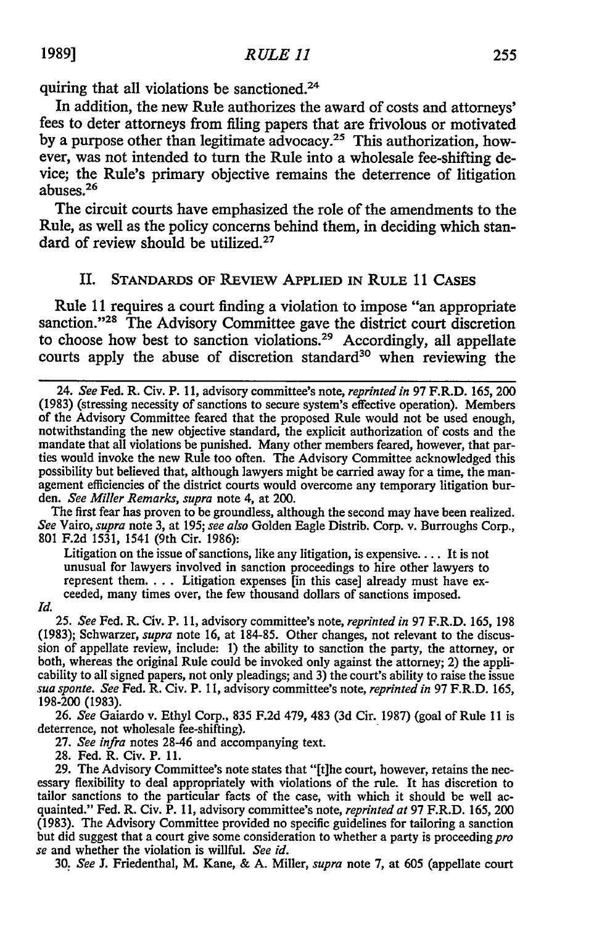quiring that all violations be sanctioned.<sup>24</sup>

In addition, the new Rule authorizes the award of costs and attorneys' fees to deter attorneys from filing papers that are frivolous or motivated by a purpose other than legitimate advocacy.<sup>25</sup> This authorization, however, was not intended to turn the Rule into a wholesale fee-shifting device; the Rule's primary objective remains the deterrence of litigation  $26$  abuses.<sup>26</sup>

The circuit courts have emphasized the role of the amendments to the Rule, as well as the policy concerns behind them, in deciding which standard of review should be utilized.<sup>27</sup>

### II. **STANDARDS OF** REVIEW **APPLIED IN** RULE **11 CASES**

Rule 11 requires a court finding a violation to impose "an appropriate sanction."<sup>28</sup> The Advisory Committee gave the district court discretion to choose how best to sanction violations.<sup>29</sup> Accordingly, all appellate courts apply the abuse of discretion standard<sup>30</sup> when reviewing the

The first fear has proven to be groundless, although the second may have been realized. *See* Vairo, *supra* note 3, at 195; *see also* Golden Eagle Distrib. Corp. v. Burroughs Corp., 801 **F.2d** 1531, 1541 (9th Cir. 1986):

Litigation on the issue of sanctions, like any litigation, is expensive.... It is not unusual for lawyers involved in sanction proceedings to hire other lawyers to represent them  $\ldots$  Litigation expenses [in this case] already must have exceeded, many times over, the few thousand dollars of sanctions imposed.

*Id.*

**25.** *See* Fed. R. Civ. P. **11,** advisory committee's note, *reprinted in* **97** F.R.D. 165, 198 (1983); Schwarzer, *supra* note 16, at **184-85.** Other changes, not relevant to the discussion of appellate review, include: **1)** the ability to sanction the party, the attorney, or both, whereas the original Rule could be invoked only against the attorney; 2) the applicability to all signed papers, not only pleadings; and 3) the court's ability to raise the issue *sua sponte. See* Fed. R. Civ. P. **11,** advisory committee's note, *reprinted in* 97 F.R.D. 165, **198-200 (1983).**

26. *See* Gaiardo v. Ethyl Corp., 835 F.2d 479, 483 (3d Cir. 1987) (goal of Rule 11 is deterrence, not wholesale fee-shifting).

27. *See infra* notes 28-46 and accompanying text.

28. Fed. R. Civ. P. 11.

29. The Advisory Committee's note states that "[t]he court, however, retains the nec- essary flexibility to deal appropriately with violations of the rule. It has discretion to tailor sanctions to the particular facts of the case, with which it should be well ac- quainted." Fed. R. Civ. P. 11, advisory committee's note, *reprinted at* 97 F.R.D. 165, 200 (1983). The Advisory Committee provided no specific guidelines for tailoring a sanction but did suggest that a court give some consideration to whether a party is proceeding pro *se* and whether the violation is willful. *See id.*

**30.** *See* J. Friedenthal, M. Kane, & A. Miller, *supra* note 7, at 605 (appellate court

<sup>24.</sup> See Fed. R. Civ. P. 11, advisory committee's note, *reprinted in* 97 F.R.D. 165, 200 (1983) (stressing necessity of sanctions to secure system's effective operation). Members of the Advisory Committee feared that the proposed Rule would not be used enough, notwithstanding the new objective standard, the explicit authorization of costs and the mandate that all violations be punished. Many other members feared, however, that parties would invoke the new Rule too often. The Advisory Committee acknowledged this possibility but believed that, although lawyers might be carried away for a time, the man- agement efficiencies of the district courts would overcome any temporary litigation burden. *See Miller Remarks, supra* note 4, at 200.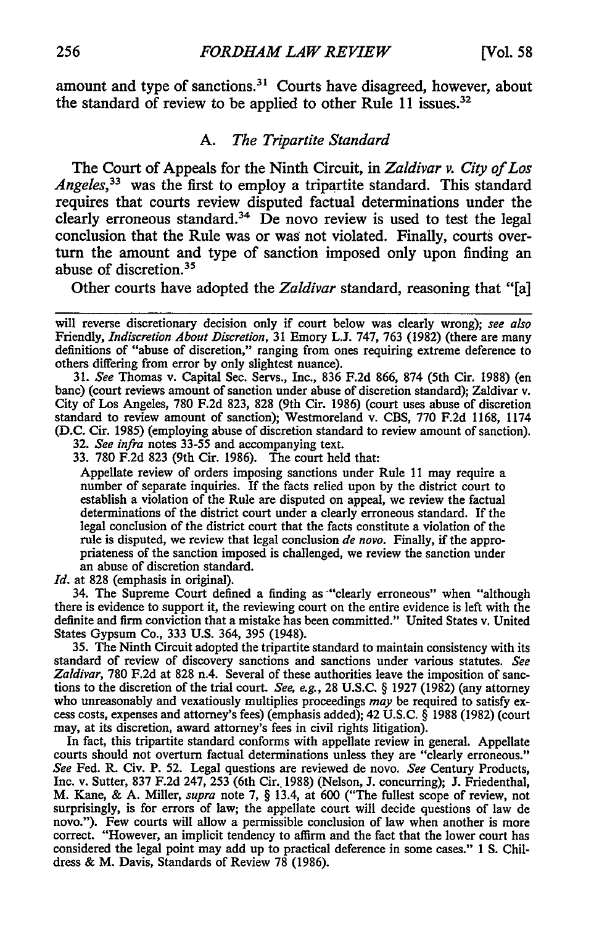amount and type of sanctions.<sup>31</sup> Courts have disagreed, however, about the standard of review to be applied to other Rule 11 issues.<sup>32</sup>

#### *A. The Tripartite Standard*

The Court of Appeals for the Ninth Circuit, in *Zaldivar v. City of Los Angeles,33* was the first to employ a tripartite standard. This standard requires that courts review disputed factual determinations under the clearly erroneous standard.<sup>34</sup> De novo review is used to test the legal conclusion that the Rule was or was not violated. Finally, courts overturn the amount and type of sanction imposed only upon finding an abuse of discretion.35

Other courts have adopted the *Zaldivar* standard, reasoning that "[a]

31. *See* Thomas v. Capital Sec. Servs., Inc., 836 F.2d 866, 874 (5th Cir. 1988) (en banc) (court reviews amount of sanction under abuse of discretion standard); Zaldivar v. City of Los Angeles, 780 F.2d 823, 828 (9th Cir. 1986) (court uses abuse of discretion standard to review amount of sanction); Westmoreland v. CBS, 770 F.2d 1168, 1174 (D.C. Cir. 1985) (employing abuse of discretion standard to review amount of sanction).

32. *See infra* notes 33-55 and accompanying text.

33. 780 F.2d 823 (9th Cir. 1986). The court held that:

Appellate review of orders imposing sanctions under Rule 11 may require a number of separate inquiries. If the facts relied upon **by** the district court to establish a violation of the Rule are disputed on appeal, we review the factual determinations of the district court under a clearly erroneous standard. If the legal conclusion of the district court that the facts constitute a violation of the rule is disputed, we review that legal conclusion *de novo.* Finally, if the appropriateness of the sanction imposed is challenged, we review the sanction under an abuse of discretion standard.

*Id.* at 828 (emphasis in original).

34. The Supreme Court defined a finding as "clearly erroneous" when "although there is evidence to support it, the reviewing court on the entire evidence is left with the definite and firm conviction that a mistake has been committed." United States v. United States Gypsum Co., 333 U.S. 364, 395 (1948).

35. The Ninth Circuit adopted the tripartite standard to maintain consistency with its standard of review of discovery sanctions and sanctions under various statutes. *See Zaldivar,* 780 F.2d at 828 n.4. Several of these authorities leave the imposition of sanctions to the discretion of the trial court. *See, e.g.,* 28 U.S.C. § 1927 (1982) (any attorney who unreasonably and vexatiously multiplies proceedings *may* be required to satisfy excess costs, expenses and attorney's fees) (emphasis added); 42 U.S.C. § 1988 (1982) (court may, at its discretion, award attorney's fees in civil rights litigation).

In fact, this tripartite standard conforms with appellate review in general. Appellate courts should not overturn factual determinations unless they are "clearly erroneous." *See* Fed. R. Civ. P. 52. Legal questions are reviewed de novo. *See* Century Products, Inc. v. Sutter, 837 F.2d 247, 253 (6th Cir., 1988) (Nelson, J. concurring); J. Friedenthal, M. Kane, & A. Miller, *supra* note 7, § 13.4, at 600 ("The fullest scope of review, not surprisingly, is for errors of law; the appellate court will decide questions of law de novo."). Few courts will allow a permissible conclusion of law when another is more correct. "However, an implicit tendency to affirm and the fact that the lower court has considered the legal point may add up to practical deference in some cases." 1 **S.** Childress & M. Davis, Standards of Review 78 (1986).

will reverse discretionary decision only if court below was clearly wrong); *see also* Friendly, *Indiscretion About Discretion,* 31 Emory L.J. 747, 763 (1982) (there are many definitions of "abuse of discretion," ranging from ones requiring extreme deference to others differing from error by only slightest nuance).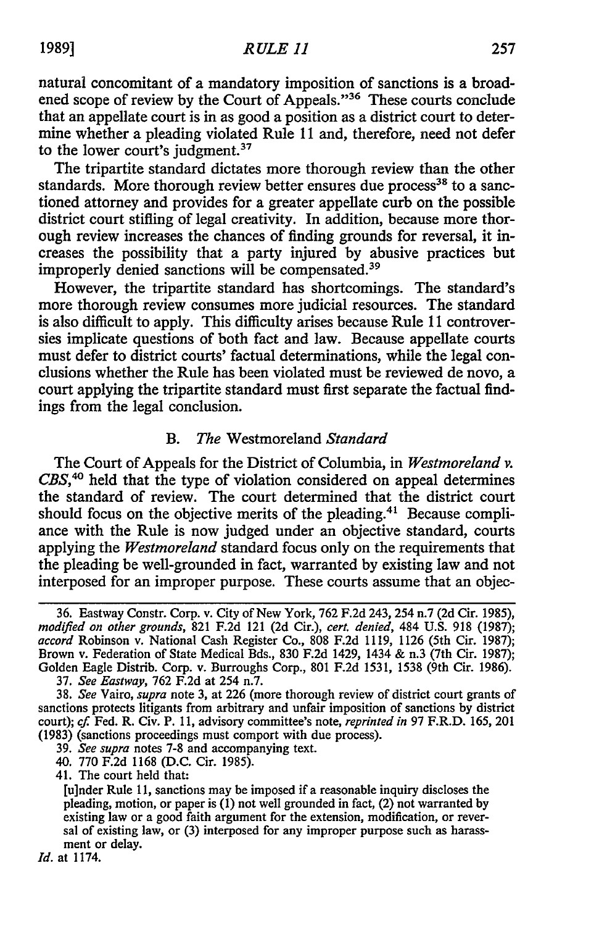natural concomitant of a mandatory imposition of sanctions is a broadened scope of review **by** the Court of Appeals."36 These courts conclude that an appellate court is in as good a position as a district court to determine whether a pleading violated Rule **11** and, therefore, need not defer to the lower court's judgment.<sup>37</sup>

The tripartite standard dictates more thorough review than the other standards. More thorough review better ensures due process<sup>38</sup> to a sanctioned attorney and provides for a greater appellate curb on the possible district court stifling of legal creativity. In addition, because more thorough review increases the chances of finding grounds for reversal, it increases the possibility that a party injured **by** abusive practices but improperly denied sanctions will be compensated.39

However, the tripartite standard has shortcomings. The standard's more thorough review consumes more judicial resources. The standard is also difficult to apply. This difficulty arises because Rule **11** controversies implicate questions of both fact and law. Because appellate courts must defer to district courts' factual determinations, while the legal conclusions whether the Rule has been violated must be reviewed de novo, a court applying the tripartite standard must first separate the factual findings from the legal conclusion.

### *B. The* Westmoreland *Standard*

The Court of Appeals for the District of Columbia, in *Westmoreland v.* CBS,<sup>40</sup> held that the type of violation considered on appeal determines the standard of review. The court determined that the district court should focus on the objective merits of the pleading.<sup>41</sup> Because compliance with the Rule is now judged under an objective standard, courts applying the *Westmoreland* standard focus only on the requirements that the pleading be well-grounded in fact, warranted by existing law and not interposed for an improper purpose. These courts assume that an objec-

- 39. *See supra* notes 7-8 and accompanying text.
- 40. **770** F.2d 1168 (D.C. Cir. 1985).
- 41. The court held that:

*Id.* at 1174.

<sup>36.</sup> Eastway Constr. Corp. v. City of New York, **762** F.2d 243, 254 n.7 (2d Cir. 1985), *modified on other grounds,* 821 F.2d 121 (2d Cir.), *cert. denied,* 484 U.S. **918** (1987); *accord* Robinson v. National Cash Register Co., 808 F.2d 1119, 1126 (5th Cir. 1987); Brown v. Federation of State Medical Bds., 830 F.2d 1429, 1434 & n.3 (7th Cir. 1987); Golden Eagle Distrib. Corp. v. Burroughs Corp., 801 F.2d 1531, 1538 (9th Cir. 1986).

<sup>37.</sup> *See Eastway,* 762 F.2d at 254 n.7.

<sup>38.</sup> *See* Vairo, *supra* note 3, at 226 (more thorough review of district court grants of sanctions protects litigants from arbitrary and unfair imposition of sanctions by district court); *cf* Fed. R. Civ. P. **11,** advisory committee's note, *reprinted in* 97 F.R.D. 165, 201 (1983) (sanctions proceedings must comport with due process).

<sup>[</sup>u]nder Rule 11, sanctions may be imposed if a reasonable inquiry discloses the pleading, motion, or paper is (1) not well grounded in fact, (2) not warranted by existing law or a good faith argument for the extension, modification, or reversal of existing law, or (3) interposed for any improper purpose such as harassment or delay.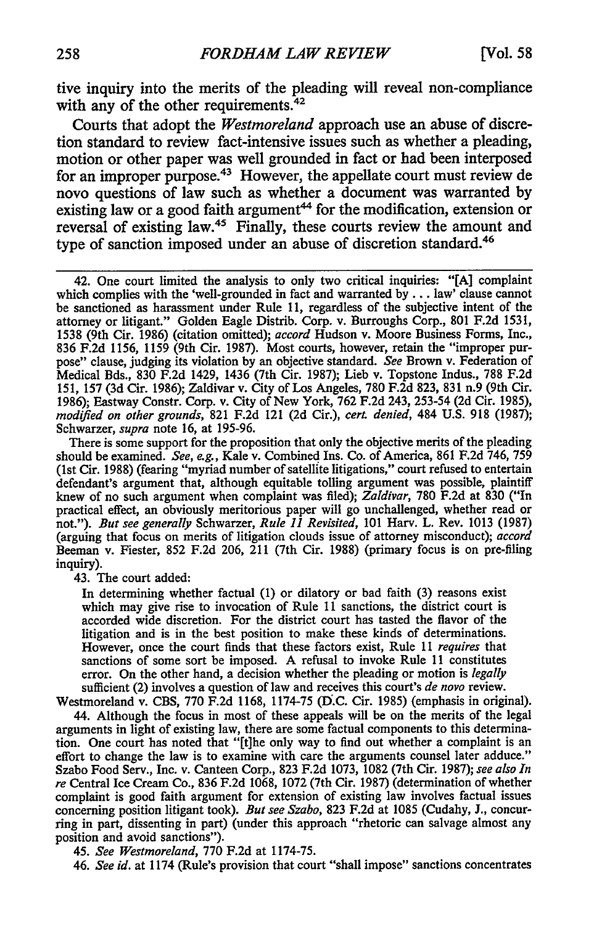tive inquiry into the merits of the pleading will reveal non-compliance with any of the other requirements. $42$ 

Courts that adopt the *Westmoreland* approach use an abuse of discretion standard to review fact-intensive issues such as whether a pleading, motion or other paper was well grounded in fact or had been interposed for an improper purpose. 43 However, the appellate court must review de novo questions of law such as whether a document was warranted by existing law or a good faith argument<sup>44</sup> for the modification, extension or reversal of existing law.45 Finally, these courts review the amount and type of sanction imposed under an abuse of discretion standard.<sup>46</sup>

There is some support for the proposition that only the objective merits of the pleading should be examined. *See, e.g.,* Kale v. Combined Ins. Co. of America, **861 F.2d** 746, **759** (1st Cir. **1988)** (fearing "myriad number of satellite litigations," court refused to entertain defendant's argument that, although equitable tolling argument was possible, plaintiff knew of no such argument when complaint was filed); *Zaldivar,* **780 F.2d** at **830** ("In practical effect, an obviously meritorious paper will go unchallenged, whether read or not."). *But see generally* Schwarzer, *Rule 11 Revisited,* **101** Harv. L. Rev. **1013 (1987)** (arguing that focus on merits of litigation clouds issue of attorney misconduct); *accord* Beeman v. Fiester, **852 F.2d 206,** 211 (7th Cir. **1988)** (primary focus is on pre-filing inquiry).

43. The court added:

In determining whether factual (1) or dilatory or bad faith (3) reasons exist which may give rise to invocation of Rule 11 sanctions, the district court is accorded wide discretion. For the district court has tasted the flavor of the litigation and is in the best position to make these kinds of determinations. However, once the court finds that these factors exist, Rule 11 *requires* that sanctions of some sort be imposed. A refusal to invoke Rule 11 constitutes error. On the other hand, a decision whether the pleading or motion is *legally* sufficient (2) involves a question of law and receives this court's *de novo* review.

Westmoreland v. CBS, 770 F.2d 1168, 1174-75 (D.C. Cir. 1985) (emphasis in original). 44. Although the focus in most of these appeals will be on the merits of the legal arguments in light of existing law, there are some factual components to this determination. One court has noted that "[t]he only way to find out whether a complaint is an effort to change the law is to examine with care the arguments counsel later adduce." Szabo Food Serv., Inc. v. Canteen Corp., 823 F.2d 1073, 1082 (7th Cir. 1987); *see also In re* Central Ice Cream Co., 836 F.2d 1068, 1072 (7th Cir. 1987) (determination of whether complaint is good faith argument for extension of existing law involves factual issues concerning position litigant took). *But see Szabo,* 823 F.2d at 1085 (Cudahy, J., concur-

ring in part, dissenting in part) (under this approach "rhetoric can salvage almost any position and avoid sanctions").

45. *See Westmoreland,* 770 F.2d at 1174-75.

46. *See id.* at 1174 (Rule's provision that court "shall impose" sanctions concentrates

<sup>42.</sup> One court limited the analysis to only two critical inquiries: "[A] complaint which complies with the 'well-grounded in fact and warranted by... law' clause cannot be sanctioned as harassment under Rule 11, regardless of the subjective intent of the attorney or litigant." Golden Eagle Distrib. Corp. v. Burroughs Corp., 801 F.2d 1531, 1538 (9th Cir. 1986) (citation omitted); *accord* Hudson v. Moore Business Forms, Inc., 836 F.2d 1156, 1159 (9th Cir. 1987). Most courts, however, retain the "improper purpose" clause, judging its violation by an objective standard. *See* Brown v. Federation of Medical Bds., 830 F.2d 1429, 1436 (7th Cir. 1987); Lieb v. Topstone Indus., 788 F.2d 151, 157 (3d Cir. 1986); Zaldivar v. City of Los Angeles, 780 F.2d 823, 831 n.9 (9th Cir. 1986); Eastway Constr. Corp. v. City of New York, 762 F.2d 243, 253-54 (2d Cir. 1985), *modified on other grounds,* 821 F.2d 121 (2d Cir.), *cert denied,* 484 U.S. 918 (1987); Schwarzer, *supra* note 16, at 195-96.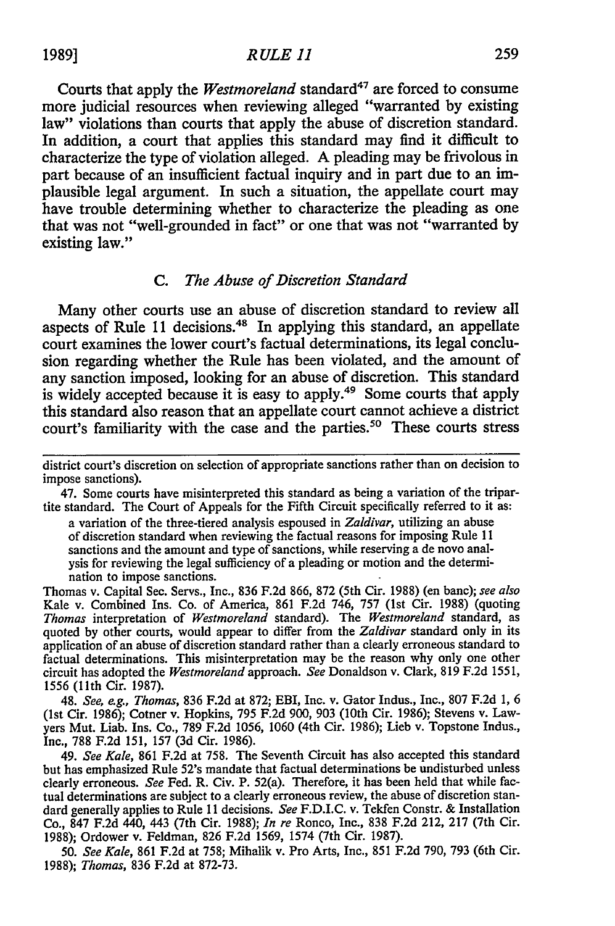Courts that apply the *Westmoreland* standard<sup>47</sup> are forced to consume more judicial resources when reviewing alleged "warranted by existing law" violations than courts that apply the abuse of discretion standard. In addition, a court that applies this standard may find it difficult to characterize the type of violation alleged. A pleading may be frivolous in part because of an insufficient factual inquiry and in part due to an implausible legal argument. In such a situation, the appellate court may have trouble determining whether to characterize the pleading as one that was not "well-grounded in fact" or one that was not "warranted by existing law."

#### *C. The Abuse of Discretion Standard*

Many other courts use an abuse of discretion standard to review all aspects of Rule 11 decisions.<sup>48</sup> In applying this standard, an appellate court examines the lower court's factual determinations, its legal conclusion regarding whether the Rule has been violated, and the amount of any sanction imposed, looking for an abuse of discretion. This standard is widely accepted because it is easy to apply.<sup>49</sup> Some courts that apply this standard also reason that an appellate court cannot achieve a district court's familiarity with the case and the parties.<sup>50</sup> These courts stress

47. Some courts have misinterpreted this standard as being a variation of the tripartite standard. The Court of Appeals for the Fifth Circuit specifically referred to it as:

a variation of the three-tiered analysis espoused in *Zaldivar,* utilizing an abuse of discretion standard when reviewing the factual reasons for imposing Rule 11 sanctions and the amount and type of sanctions, while reserving a de novo analysis for reviewing the legal sufficiency of a pleading or motion and the determination to impose sanctions.

Thomas v. Capital Sec. Servs., Inc., 836 F.2d 866, 872 (5th Cir. 1988) (en bane); *see also* Kale v. Combined Ins. Co. of America, 861 F.2d 746, 757 (1st Cir. 1988) (quoting *Thomas* interpretation of *Westmoreland* standard). The *Westmoreland* standard, as quoted by other courts, would appear to differ from the *Zaldivar* standard only in its application of an abuse of discretion standard rather than a clearly erroneous standard to factual determinations. This misinterpretation may be the reason why only one other circuit has adopted the *Westmoreland* approach. *See* Donaldson v. Clark, 819 F.2d 1551, 1556 (11th Cir. 1987).

48. *See, e.g., Thomas,* 836 F.2d at 872; EBI, Inc. v. Gator Indus., Inc., 807 F.2d 1, 6 (1st Cir. 1986); Cotner v. Hopkins, 795 F.2d 900, 903 (10th Cir. 1986); Stevens v. Lawyers Mut. Liab. Ins. Co., 789 F.2d 1056, 1060 (4th Cir. 1986); Lieb v. Topstone Indus., Inc., 788 F.2d 151, 157 (3d Cir. 1986).

49. *See Kale,* 861 F.2d at 758. The Seventh Circuit has also accepted this standard but has emphasized Rule 52's mandate that factual determinations be undisturbed unless clearly erroneous. *See* Fed. R. Civ. P. 52(a). Therefore, it has been held that while factual determinations are subject to a clearly erroneous review, the abuse of discretion standard generally applies to Rule 11 decisions. *See* F.D.I.C. v. Tekfen Constr. & Installation Co., 847 F.2d 440, 443 (7th Cir. 1988); *In re* Ronco, Inc., 838 F.2d 212, 217 (7th Cir. 1988); Ordower v. Feldman, 826 F.2d 1569, 1574 (7th Cir. 1987).

50. *See Kale,* 861 F.2d at 758; Mihalik v. Pro Arts, Inc., 851 F.2d 790, 793 (6th Cir. 1988); *Thomas,* 836 F.2d at 872-73.

district court's discretion on selection of appropriate sanctions rather than on decision to impose sanctions).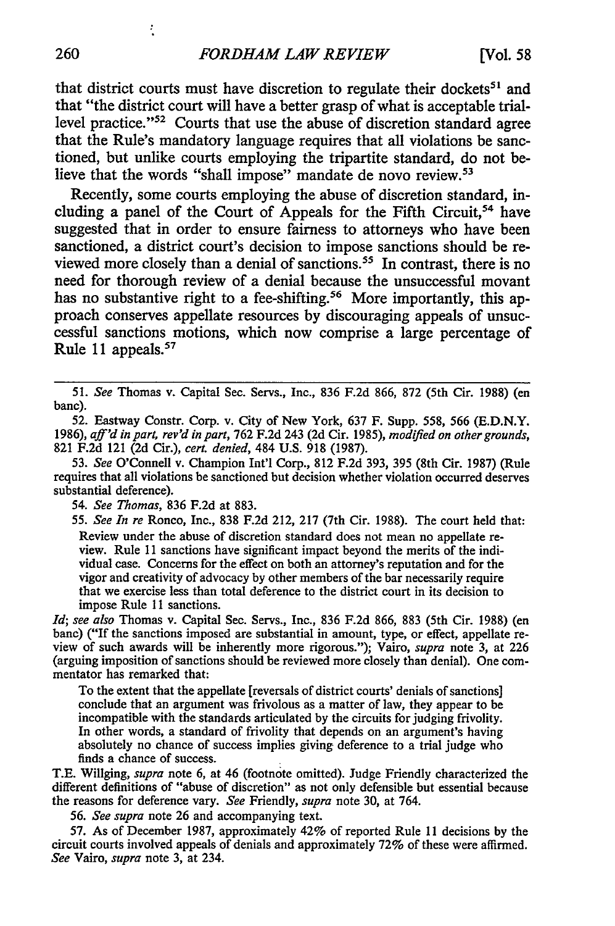that district courts must have discretion to regulate their dockets<sup>51</sup> and that "the district court will have a better grasp of what is acceptable triallevel practice."<sup>52</sup> Courts that use the abuse of discretion standard agree that the Rule's mandatory language requires that all violations be sanctioned, but unlike courts employing the tripartite standard, do not believe that the words "shall impose" mandate de novo review.<sup>53</sup>

Recently, some courts employing the abuse of discretion standard, including a panel of the Court of Appeals for the Fifth Circuit,<sup>54</sup> have suggested that in order to ensure fairness to attorneys who have been sanctioned, a district court's decision to impose sanctions should be reviewed more closely than a denial of sanctions.<sup>55</sup> In contrast, there is no need for thorough review of a denial because the unsuccessful movant has no substantive right to a fee-shifting.<sup>56</sup> More importantly, this approach conserves appellate resources **by** discouraging appeals of unsuccessful sanctions motions, which now comprise a large percentage of Rule **11** appeals.57

**51.** *See* Thomas v. Capital Sec. Servs., Inc., **836 F.2d 866, 872** (5th Cir. **1988)** (en bane).

**52.** Eastway Constr. Corp. v. City of New York, **637** F. Supp. **558, 566 (E.D.N.Y. 1986),** *aff'd in part, rev'd in part,* **762 F.2d** 243 **(2d** Cir. **1985),** *modified on other grounds,* **821 F.2d** 121 **(2d** Cir.), *cert. denied,* 484 **U.S. 918 (1987).**

**53.** *See* O'Connell v. Champion **Int'l** Corp., **812 F.2d 393, 395** (8th Cir. **1987)** (Rule requires that all violations be sanctioned but decision whether violation occurred deserves substantial deference).

54. *See Thomas,* **836 F.2d** at **883.**

*55. See In re* Ronco, Inc., **838 F.2d** 212, **217** (7th Cir. **1988).** The court held that: Review under the abuse of discretion standard does not mean no appellate review. Rule 11 sanctions have significant impact beyond the merits of the individual case. Concerns for the effect on both an attorney's reputation and for the vigor and creativity of advocacy **by** other members of the bar necessarily require that we exercise less than total deference to the district court in its decision to impose Rule **11** sanctions.

*1d; see also* Thomas v. Capital Sec. Servs., Inc., **836 F.2d 866, 883** (5th Cir. **1988)** (en banc) ("If the sanctions imposed are substantial in amount, type, or effect, appellate review of such awards will be inherently more rigorous."); Vairo, *supra* note **3,** at **226** (arguing imposition of sanctions should be reviewed more closely than denial). One commentator has remarked that:

To the extent that the appellate [reversals of district courts' denials of sanctions] conclude that an argument was frivolous as a matter of law, they appear to be incompatible with the standards articulated **by** the circuits for judging frivolity. In other words, a standard of frivolity that depends on an argument's having absolutely no chance of success implies giving deference to a trial judge who finds a chance of success.

**T.E.** Willging, *supra* note **6,** at 46 (footnote omitted). Judge Friendly characterized the different definitions of "abuse of discretion" as not only defensible but essential because the reasons for deference vary. *See* Friendly, *supra* note **30,** at 764.

**56.** *See supra* note **26** and accompanying text.

**57.** As of December **1987,** approximately 42% of reported Rule **I 1** decisions **by** the circuit courts involved appeals of denials and approximately **72%** of these were affirmed. *See* Vairo, *supra* note **3,** at 234.

÷,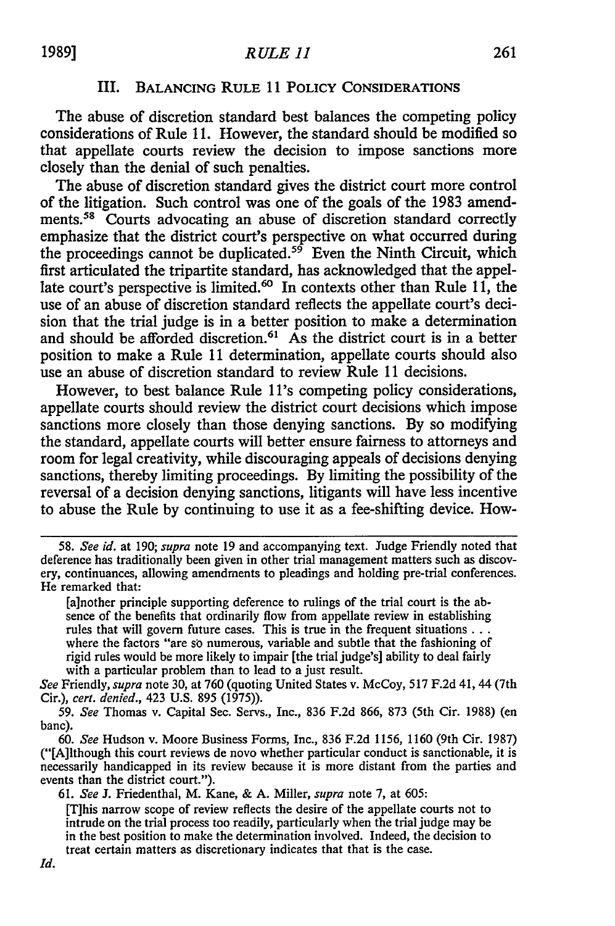## III. BALANCING **RULE** 11 POLICY **CONSIDERATIONS**

The abuse of discretion standard best balances the competing policy considerations of Rule **11.** However, the standard should be modified so that appellate courts review the decision to impose sanctions more closely than the denial of such penalties.

The abuse of discretion standard gives the district court more control of the litigation. Such control was one of the goals of the 1983 amendments.<sup>58</sup> Courts advocating an abuse of discretion standard correctly emphasize that the district court's perspective on what occurred during the proceedings cannot be duplicated.<sup>59</sup> Even the Ninth Circuit, which first articulated the tripartite standard, has acknowledged that the appellate court's perspective is limited.<sup>60</sup> In contexts other than Rule 11, the use of an abuse of discretion standard reflects the appellate court's decision that the trial judge is in a better position to make a determination and should be afforded discretion.<sup>61</sup> As the district court is in a better position to make a Rule 11 determination, appellate courts should also use an abuse of discretion standard to review Rule 11 decisions.

However, to best balance Rule 1l's competing policy considerations, appellate courts should review the district court decisions which impose sanctions more closely than those denying sanctions. **By** so modifying the standard, appellate courts will better ensure fairness to attorneys and room for legal creativity, while discouraging appeals of decisions denying sanctions, thereby limiting proceedings. **By** limiting the possibility of the reversal of a decision denying sanctions, litigants will have less incentive to abuse the Rule **by** continuing to use it as a fee-shifting device. How-

**<sup>58.</sup>** *See id.* at 190; *supra* note **19** and accompanying text. Judge Friendly noted that deference has traditionally been given in other trial management matters such as discovery, continuances, allowing amendments to pleadings and holding pre-trial conferences. He remarked that:

<sup>[</sup>a]nother principle supporting deference to rulings of the trial court is the absence of the benefits that ordinarily flow from appellate review in establishing rules that will govern future cases. This is true in the frequent situations ... where the factors "are so numerous, variable and subtle that the fashioning of rigid rules would be more likely to impair [the trial judge's] ability to deal fairly with a particular problem than to lead to a just result.

*See* Friendly, *supra* note **30,** at **760** (quoting United States v. McCoy, **517 F.2d** 41, 44 (7th Cir.), *cert. denied.,* 423 U.S. 895 (1975)).

*<sup>59.</sup> See* Thomas v. Capital Sec. Servs., Inc., 836 F.2d 866, **873** (5th Cir. 1988) (en banc).

*<sup>60.</sup> See* Hudson v. Moore Business Forms, Inc., **836** F.2d 1156, 1160 (9th Cir. 1987) ("[A]lthough this court reviews de novo whether particular conduct is sanctionable, it is necessarily handicapped in its review because it is more distant from the parties and events than the district court.").

**<sup>61.</sup>** *See* **J.** Friedenthal, M. Kane, & A. Miller, *supra* note **7,** at 605:

<sup>[</sup>T]his narrow scope of review reflects the desire of the appellate courts not to intrude on the trial process too readily, particularly when the trial judge may be in the best position to make the determination involved. Indeed, the decision to treat certain matters as discretionary indicates that that is the case.